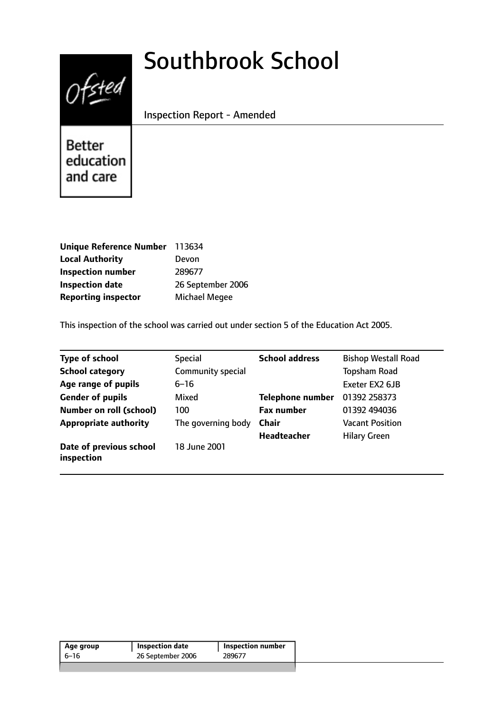# $0$ fsted

# Southbrook School

Inspection Report - Amended

Better education and care

| Unique Reference Number 113634 |                      |
|--------------------------------|----------------------|
| <b>Local Authority</b>         | Devon                |
| <b>Inspection number</b>       | 289677               |
| <b>Inspection date</b>         | 26 September 2006    |
| <b>Reporting inspector</b>     | <b>Michael Megee</b> |

This inspection of the school was carried out under section 5 of the Education Act 2005.

| <b>Type of school</b>                 | <b>Special</b>     | <b>School address</b>   | <b>Bishop Westall Road</b> |
|---------------------------------------|--------------------|-------------------------|----------------------------|
| <b>School category</b>                | Community special  |                         | <b>Topsham Road</b>        |
| Age range of pupils                   | $6 - 16$           |                         | Exeter EX2 6JB             |
| <b>Gender of pupils</b>               | Mixed              | <b>Telephone number</b> | 01392 258373               |
| <b>Number on roll (school)</b>        | 100                | <b>Fax number</b>       | 01392 494036               |
| <b>Appropriate authority</b>          | The governing body | <b>Chair</b>            | <b>Vacant Position</b>     |
|                                       |                    | <b>Headteacher</b>      | <b>Hilary Green</b>        |
| Date of previous school<br>inspection | 18 June 2001       |                         |                            |

| 26 September 2006<br>289677<br>6–16 | Age group | <b>Inspection date</b> | <b>Inspection number</b> |
|-------------------------------------|-----------|------------------------|--------------------------|
|                                     |           |                        |                          |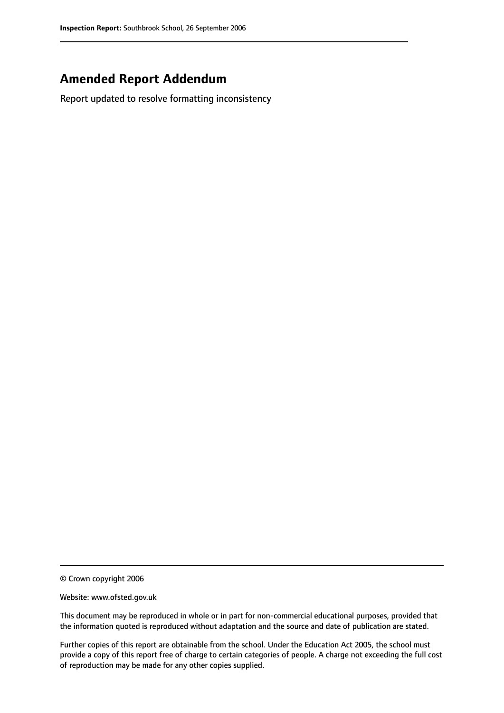# **Amended Report Addendum**

Report updated to resolve formatting inconsistency

© Crown copyright 2006

Website: www.ofsted.gov.uk

This document may be reproduced in whole or in part for non-commercial educational purposes, provided that the information quoted is reproduced without adaptation and the source and date of publication are stated.

Further copies of this report are obtainable from the school. Under the Education Act 2005, the school must provide a copy of this report free of charge to certain categories of people. A charge not exceeding the full cost of reproduction may be made for any other copies supplied.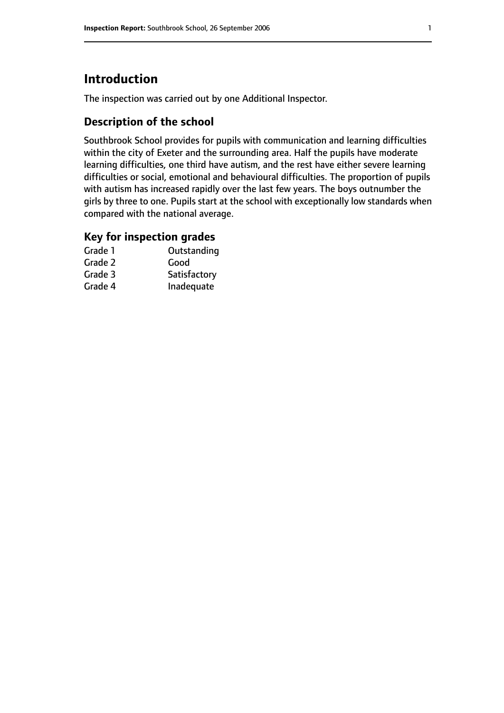# **Introduction**

The inspection was carried out by one Additional Inspector.

# **Description of the school**

Southbrook School provides for pupils with communication and learning difficulties within the city of Exeter and the surrounding area. Half the pupils have moderate learning difficulties, one third have autism, and the rest have either severe learning difficulties or social, emotional and behavioural difficulties. The proportion of pupils with autism has increased rapidly over the last few years. The boys outnumber the girls by three to one. Pupils start at the school with exceptionally low standards when compared with the national average.

#### **Key for inspection grades**

| Grade 1 | Outstanding  |
|---------|--------------|
| Grade 2 | Good         |
| Grade 3 | Satisfactory |
| Grade 4 | Inadequate   |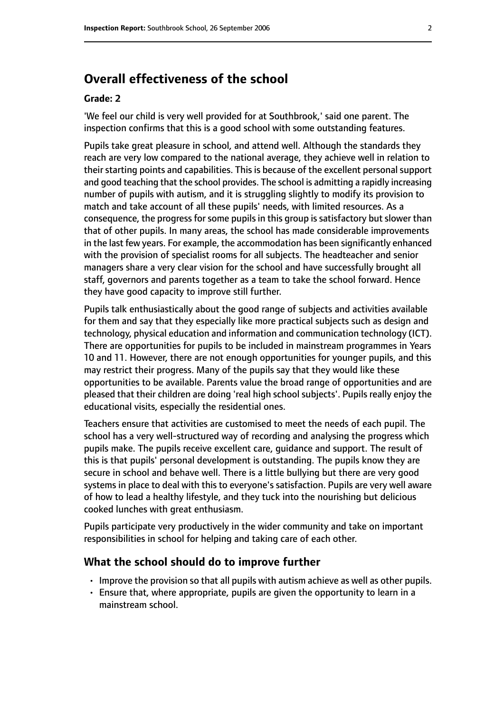# **Overall effectiveness of the school**

#### **Grade: 2**

'We feel our child is very well provided for at Southbrook,' said one parent. The inspection confirms that this is a good school with some outstanding features.

Pupils take great pleasure in school, and attend well. Although the standards they reach are very low compared to the national average, they achieve well in relation to their starting points and capabilities. This is because of the excellent personal support and good teaching that the school provides. The school is admitting a rapidly increasing number of pupils with autism, and it is struggling slightly to modify its provision to match and take account of all these pupils' needs, with limited resources. As a consequence, the progress for some pupils in this group is satisfactory but slower than that of other pupils. In many areas, the school has made considerable improvements in the last few years. For example, the accommodation has been significantly enhanced with the provision of specialist rooms for all subjects. The headteacher and senior managers share a very clear vision for the school and have successfully brought all staff, governors and parents together as a team to take the school forward. Hence they have good capacity to improve still further.

Pupils talk enthusiastically about the good range of subjects and activities available for them and say that they especially like more practical subjects such as design and technology, physical education and information and communication technology (ICT). There are opportunities for pupils to be included in mainstream programmes in Years 10 and 11. However, there are not enough opportunities for younger pupils, and this may restrict their progress. Many of the pupils say that they would like these opportunities to be available. Parents value the broad range of opportunities and are pleased that their children are doing 'real high school subjects'. Pupils really enjoy the educational visits, especially the residential ones.

Teachers ensure that activities are customised to meet the needs of each pupil. The school has a very well-structured way of recording and analysing the progress which pupils make. The pupils receive excellent care, guidance and support. The result of this is that pupils' personal development is outstanding. The pupils know they are secure in school and behave well. There is a little bullying but there are very good systems in place to deal with this to everyone's satisfaction. Pupils are very well aware of how to lead a healthy lifestyle, and they tuck into the nourishing but delicious cooked lunches with great enthusiasm.

Pupils participate very productively in the wider community and take on important responsibilities in school for helping and taking care of each other.

#### **What the school should do to improve further**

- Improve the provision so that all pupils with autism achieve as well as other pupils.
- Ensure that, where appropriate, pupils are given the opportunity to learn in a mainstream school.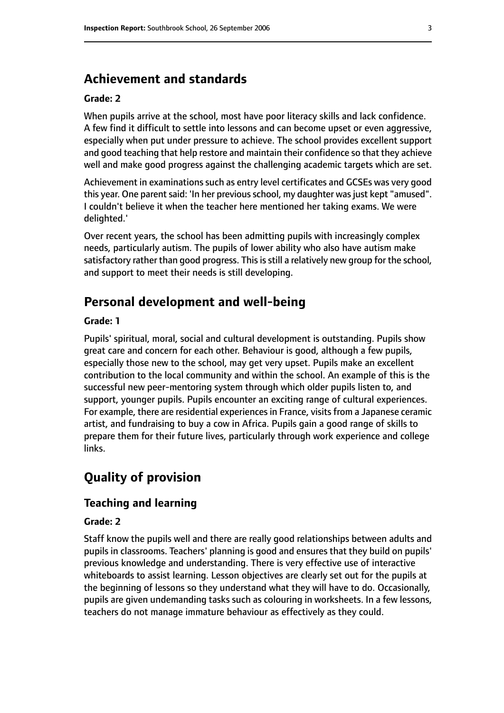# **Achievement and standards**

#### **Grade: 2**

When pupils arrive at the school, most have poor literacy skills and lack confidence. A few find it difficult to settle into lessons and can become upset or even aggressive, especially when put under pressure to achieve. The school provides excellent support and good teaching that help restore and maintain their confidence so that they achieve well and make good progress against the challenging academic targets which are set.

Achievement in examinations such as entry level certificates and GCSEs was very good this year. One parent said: 'In her previous school, my daughter was just kept "amused". I couldn't believe it when the teacher here mentioned her taking exams. We were delighted.'

Over recent years, the school has been admitting pupils with increasingly complex needs, particularly autism. The pupils of lower ability who also have autism make satisfactory rather than good progress. This is still a relatively new group for the school, and support to meet their needs is still developing.

# **Personal development and well-being**

#### **Grade: 1**

Pupils' spiritual, moral, social and cultural development is outstanding. Pupils show great care and concern for each other. Behaviour is good, although a few pupils, especially those new to the school, may get very upset. Pupils make an excellent contribution to the local community and within the school. An example of this is the successful new peer-mentoring system through which older pupils listen to, and support, younger pupils. Pupils encounter an exciting range of cultural experiences. For example, there are residential experiences in France, visits from a Japanese ceramic artist, and fundraising to buy a cow in Africa. Pupils gain a good range of skills to prepare them for their future lives, particularly through work experience and college links.

# **Quality of provision**

#### **Teaching and learning**

#### **Grade: 2**

Staff know the pupils well and there are really good relationships between adults and pupils in classrooms. Teachers' planning is good and ensures that they build on pupils' previous knowledge and understanding. There is very effective use of interactive whiteboards to assist learning. Lesson objectives are clearly set out for the pupils at the beginning of lessons so they understand what they will have to do. Occasionally, pupils are given undemanding tasks such as colouring in worksheets. In a few lessons, teachers do not manage immature behaviour as effectively as they could.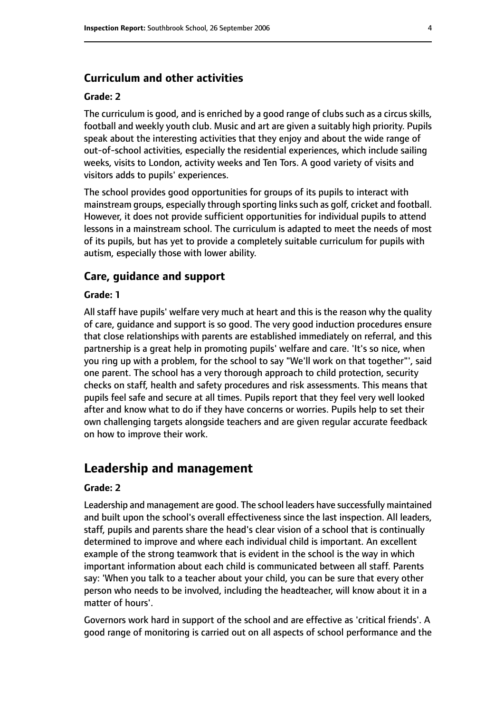#### **Curriculum and other activities**

#### **Grade: 2**

The curriculum is good, and is enriched by a good range of clubs such as a circus skills, football and weekly youth club. Music and art are given a suitably high priority. Pupils speak about the interesting activities that they enjoy and about the wide range of out-of-school activities, especially the residential experiences, which include sailing weeks, visits to London, activity weeks and Ten Tors. A good variety of visits and visitors adds to pupils' experiences.

The school provides good opportunities for groups of its pupils to interact with mainstream groups, especially through sporting links such as golf, cricket and football. However, it does not provide sufficient opportunities for individual pupils to attend lessons in a mainstream school. The curriculum is adapted to meet the needs of most of its pupils, but has yet to provide a completely suitable curriculum for pupils with autism, especially those with lower ability.

#### **Care, guidance and support**

#### **Grade: 1**

All staff have pupils' welfare very much at heart and this is the reason why the quality of care, guidance and support is so good. The very good induction procedures ensure that close relationships with parents are established immediately on referral, and this partnership is a great help in promoting pupils' welfare and care. 'It's so nice, when you ring up with a problem, for the school to say "We'll work on that together"', said one parent. The school has a very thorough approach to child protection, security checks on staff, health and safety procedures and risk assessments. This means that pupils feel safe and secure at all times. Pupils report that they feel very well looked after and know what to do if they have concerns or worries. Pupils help to set their own challenging targets alongside teachers and are given regular accurate feedback on how to improve their work.

#### **Leadership and management**

#### **Grade: 2**

Leadership and management are good. The school leaders have successfully maintained and built upon the school's overall effectiveness since the last inspection. All leaders, staff, pupils and parents share the head's clear vision of a school that is continually determined to improve and where each individual child is important. An excellent example of the strong teamwork that is evident in the school is the way in which important information about each child is communicated between all staff. Parents say: 'When you talk to a teacher about your child, you can be sure that every other person who needs to be involved, including the headteacher, will know about it in a matter of hours'.

Governors work hard in support of the school and are effective as 'critical friends'. A good range of monitoring is carried out on all aspects of school performance and the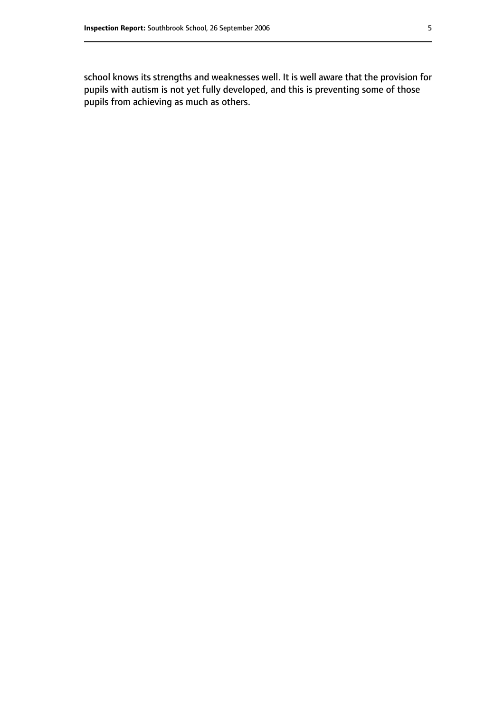school knows its strengths and weaknesses well. It is well aware that the provision for pupils with autism is not yet fully developed, and this is preventing some of those pupils from achieving as much as others.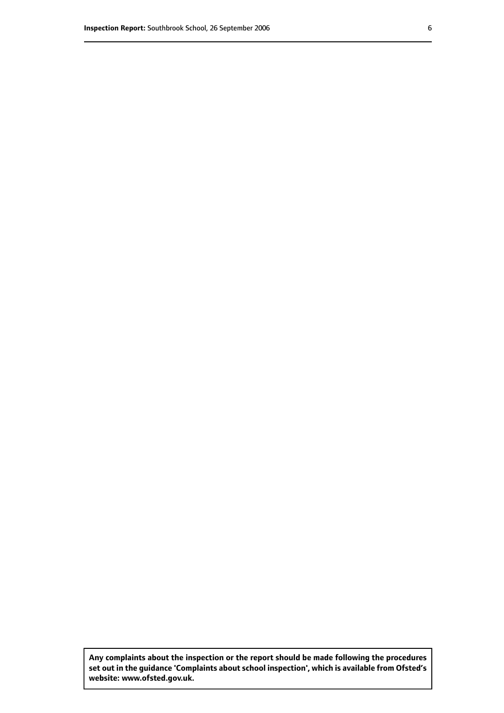**Any complaints about the inspection or the report should be made following the procedures set out inthe guidance 'Complaints about school inspection', whichis available from Ofsted's website: www.ofsted.gov.uk.**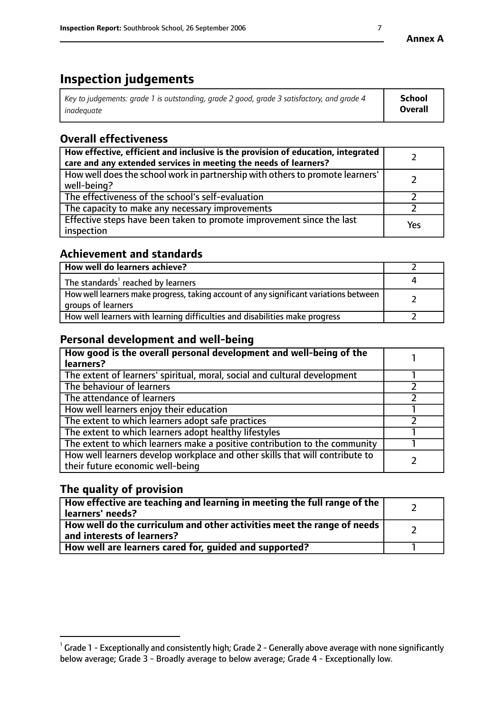# **Inspection judgements**

| $^{\dagger}$ Key to judgements: grade 1 is outstanding, grade 2 good, grade 3 satisfactory, and grade 4 | <b>School</b>  |
|---------------------------------------------------------------------------------------------------------|----------------|
| inadeauate                                                                                              | <b>Overall</b> |

# **Overall effectiveness**

| How effective, efficient and inclusive is the provision of education, integrated<br>care and any extended services in meeting the needs of learners? |     |
|------------------------------------------------------------------------------------------------------------------------------------------------------|-----|
| How well does the school work in partnership with others to promote learners'<br>well-being?                                                         |     |
| The effectiveness of the school's self-evaluation                                                                                                    |     |
| The capacity to make any necessary improvements                                                                                                      |     |
| Effective steps have been taken to promote improvement since the last<br>inspection                                                                  | Yes |

# **Achievement and standards**

| How well do learners achieve?                                                                               |  |
|-------------------------------------------------------------------------------------------------------------|--|
| The standards <sup>1</sup> reached by learners                                                              |  |
| How well learners make progress, taking account of any significant variations between<br>groups of learners |  |
| How well learners with learning difficulties and disabilities make progress                                 |  |

# **Personal development and well-being**

| How good is the overall personal development and well-being of the<br>learners?                                  |  |
|------------------------------------------------------------------------------------------------------------------|--|
| The extent of learners' spiritual, moral, social and cultural development                                        |  |
| The behaviour of learners                                                                                        |  |
| The attendance of learners                                                                                       |  |
| How well learners enjoy their education                                                                          |  |
| The extent to which learners adopt safe practices                                                                |  |
| The extent to which learners adopt healthy lifestyles                                                            |  |
| The extent to which learners make a positive contribution to the community                                       |  |
| How well learners develop workplace and other skills that will contribute to<br>their future economic well-being |  |

# **The quality of provision**

| How effective are teaching and learning in meeting the full range of the<br>learners' needs?            |  |
|---------------------------------------------------------------------------------------------------------|--|
| How well do the curriculum and other activities meet the range of needs  <br>and interests of learners? |  |
| How well are learners cared for, guided and supported?                                                  |  |

 $^1$  Grade 1 - Exceptionally and consistently high; Grade 2 - Generally above average with none significantly below average; Grade 3 - Broadly average to below average; Grade 4 - Exceptionally low.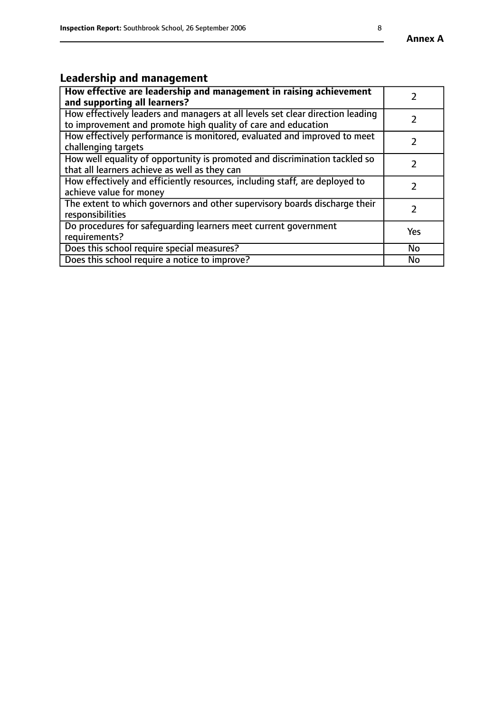# **Leadership and management**

| How effective are leadership and management in raising achievement<br>and supporting all learners?                                              |               |
|-------------------------------------------------------------------------------------------------------------------------------------------------|---------------|
| How effectively leaders and managers at all levels set clear direction leading<br>to improvement and promote high quality of care and education |               |
| How effectively performance is monitored, evaluated and improved to meet<br>challenging targets                                                 | $\mathcal{L}$ |
| How well equality of opportunity is promoted and discrimination tackled so<br>that all learners achieve as well as they can                     |               |
| How effectively and efficiently resources, including staff, are deployed to<br>achieve value for money                                          |               |
| The extent to which governors and other supervisory boards discharge their<br>responsibilities                                                  |               |
| Do procedures for safequarding learners meet current government<br>requirements?                                                                | Yes           |
| Does this school require special measures?                                                                                                      | No            |
| Does this school require a notice to improve?                                                                                                   | <b>No</b>     |